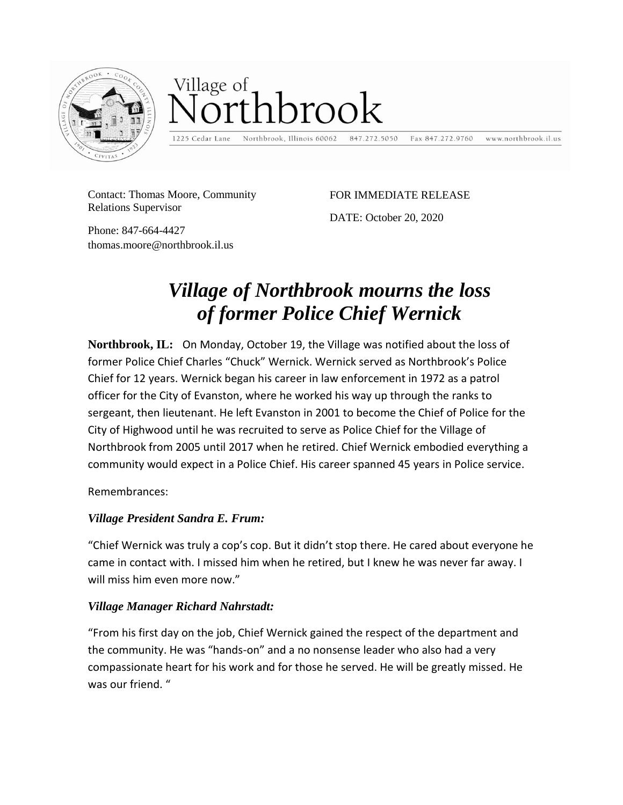

# Village of thbrook

1225 Cedar Lane

Northbrook, Illinois 60062 847.272.5050 Fax 847.272.9760 www.northbrook.il.us

Contact: Thomas Moore, Community Relations Supervisor

FOR IMMEDIATE RELEASE

DATE: October 20, 2020

Phone: 847-664-4427 thomas.moore@northbrook.il.us

## *Village of Northbrook mourns the loss of former Police Chief Wernick*

**Northbrook, IL:** On Monday, October 19, the Village was notified about the loss of former Police Chief Charles "Chuck" Wernick. Wernick served as Northbrook's Police Chief for 12 years. Wernick began his career in law enforcement in 1972 as a patrol officer for the City of Evanston, where he worked his way up through the ranks to sergeant, then lieutenant. He left Evanston in 2001 to become the Chief of Police for the City of Highwood until he was recruited to serve as Police Chief for the Village of Northbrook from 2005 until 2017 when he retired. Chief Wernick embodied everything a community would expect in a Police Chief. His career spanned 45 years in Police service.

Remembrances:

### *Village President Sandra E. Frum:*

"Chief Wernick was truly a cop's cop. But it didn't stop there. He cared about everyone he came in contact with. I missed him when he retired, but I knew he was never far away. I will miss him even more now."

### *Village Manager Richard Nahrstadt:*

"From his first day on the job, Chief Wernick gained the respect of the department and the community. He was "hands-on" and a no nonsense leader who also had a very compassionate heart for his work and for those he served. He will be greatly missed. He was our friend. "